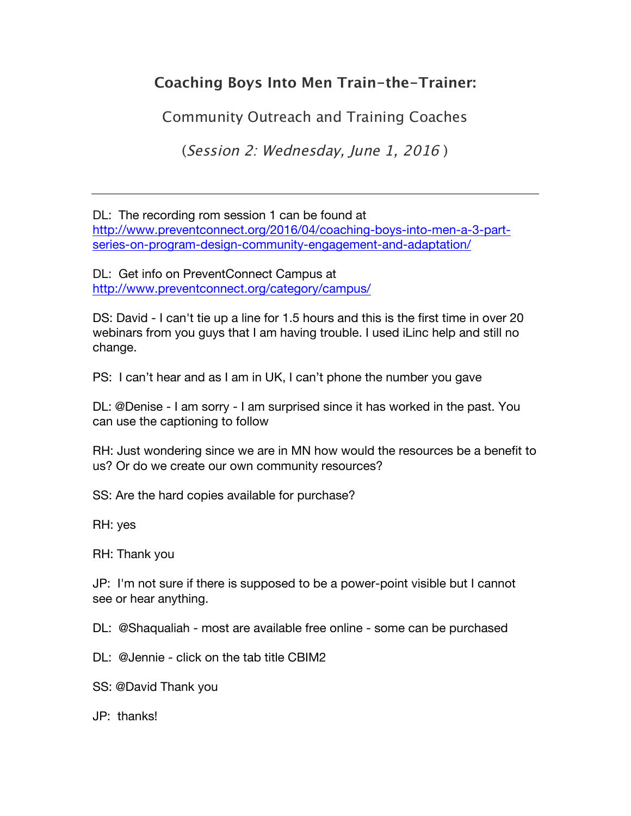## **Coaching Boys Into Men Train-the-Trainer:**

Community Outreach and Training Coaches

(Session 2: Wednesday, June 1, 2016 )

DL: The recording rom session 1 can be found at http://www.preventconnect.org/2016/04/coaching-boys-into-men-a-3-partseries-on-program-design-community-engagement-and-adaptation/

DL: Get info on PreventConnect Campus at http://www.preventconnect.org/category/campus/

DS: David - I can't tie up a line for 1.5 hours and this is the first time in over 20 webinars from you guys that I am having trouble. I used iLinc help and still no change.

PS: I can't hear and as I am in UK, I can't phone the number you gave

DL: @Denise - I am sorry - I am surprised since it has worked in the past. You can use the captioning to follow

RH: Just wondering since we are in MN how would the resources be a benefit to us? Or do we create our own community resources?

SS: Are the hard copies available for purchase?

RH: yes

RH: Thank you

JP: I'm not sure if there is supposed to be a power-point visible but I cannot see or hear anything.

DL: @Shaqualiah - most are available free online - some can be purchased

DL: @Jennie - click on the tab title CBIM2

SS: @David Thank you

JP: thanks!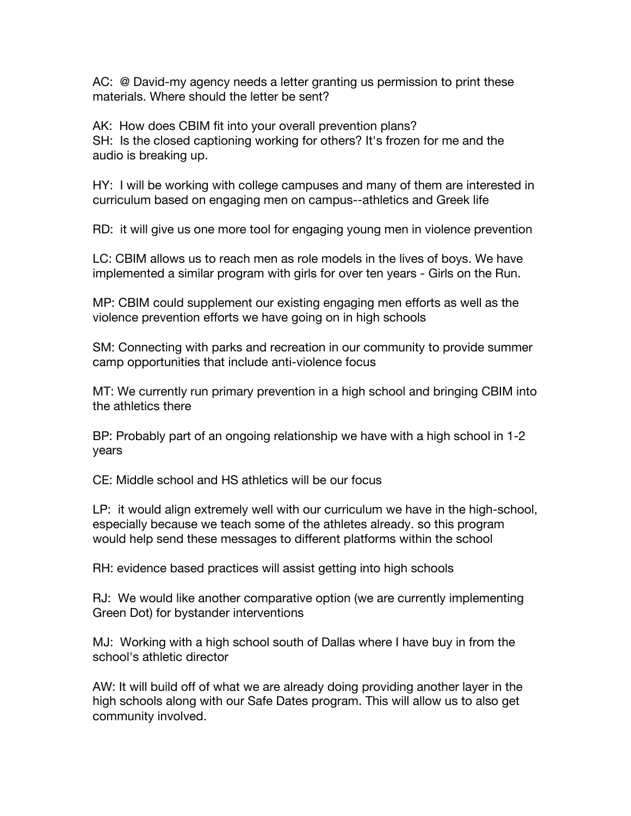AC: @ David-my agency needs a letter granting us permission to print these materials. Where should the letter be sent?

AK: How does CBIM fit into your overall prevention plans? SH: Is the closed captioning working for others? It's frozen for me and the audio is breaking up.

HY: I will be working with college campuses and many of them are interested in curriculum based on engaging men on campus--athletics and Greek life

RD: it will give us one more tool for engaging young men in violence prevention

LC: CBIM allows us to reach men as role models in the lives of boys. We have implemented a similar program with girls for over ten years - Girls on the Run.

MP: CBIM could supplement our existing engaging men efforts as well as the violence prevention efforts we have going on in high schools

SM: Connecting with parks and recreation in our community to provide summer camp opportunities that include anti-violence focus

MT: We currently run primary prevention in a high school and bringing CBIM into the athletics there

BP: Probably part of an ongoing relationship we have with a high school in 1-2 years

CE: Middle school and HS athletics will be our focus

LP: it would align extremely well with our curriculum we have in the high-school, especially because we teach some of the athletes already. so this program would help send these messages to different platforms within the school

RH: evidence based practices will assist getting into high schools

RJ: We would like another comparative option (we are currently implementing Green Dot) for bystander interventions

MJ: Working with a high school south of Dallas where I have buy in from the school's athletic director

AW: It will build off of what we are already doing providing another layer in the high schools along with our Safe Dates program. This will allow us to also get community involved.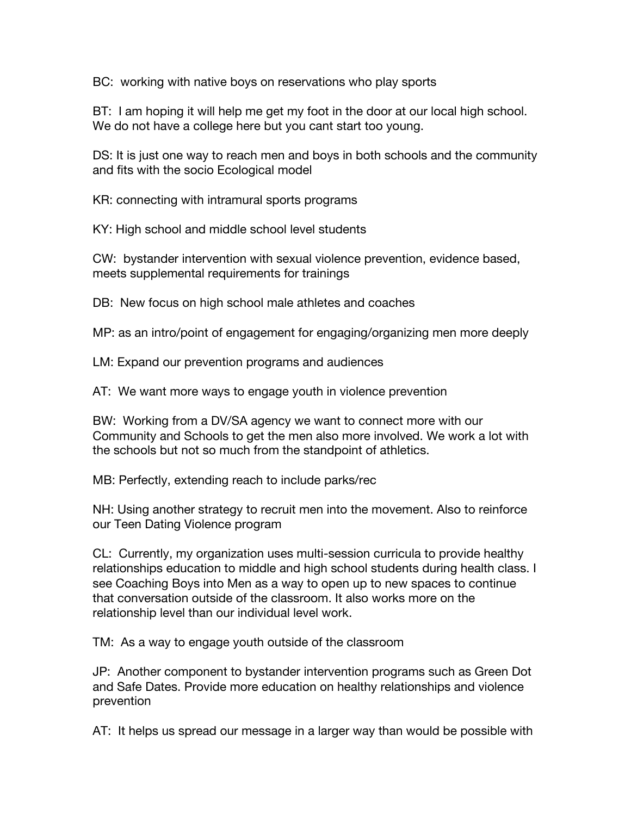BC: working with native boys on reservations who play sports

BT: I am hoping it will help me get my foot in the door at our local high school. We do not have a college here but you cant start too young.

DS: It is just one way to reach men and boys in both schools and the community and fits with the socio Ecological model

KR: connecting with intramural sports programs

KY: High school and middle school level students

CW: bystander intervention with sexual violence prevention, evidence based, meets supplemental requirements for trainings

DB: New focus on high school male athletes and coaches

MP: as an intro/point of engagement for engaging/organizing men more deeply

LM: Expand our prevention programs and audiences

AT: We want more ways to engage youth in violence prevention

BW: Working from a DV/SA agency we want to connect more with our Community and Schools to get the men also more involved. We work a lot with the schools but not so much from the standpoint of athletics.

MB: Perfectly, extending reach to include parks/rec

NH: Using another strategy to recruit men into the movement. Also to reinforce our Teen Dating Violence program

CL: Currently, my organization uses multi-session curricula to provide healthy relationships education to middle and high school students during health class. I see Coaching Boys into Men as a way to open up to new spaces to continue that conversation outside of the classroom. It also works more on the relationship level than our individual level work.

TM: As a way to engage youth outside of the classroom

JP: Another component to bystander intervention programs such as Green Dot and Safe Dates. Provide more education on healthy relationships and violence prevention

AT: It helps us spread our message in a larger way than would be possible with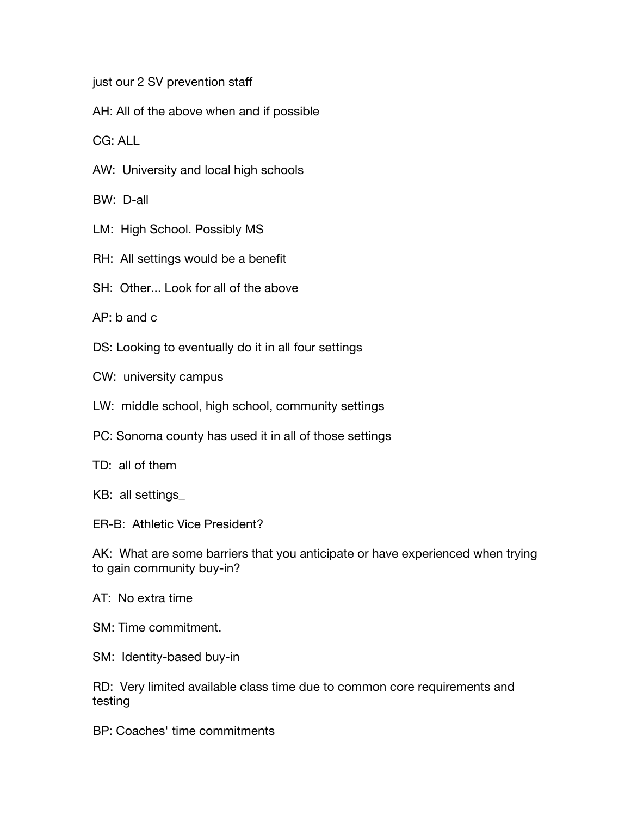just our 2 SV prevention staff

AH: All of the above when and if possible

CG: ALL

AW: University and local high schools

BW: D-all

- LM: High School. Possibly MS
- RH: All settings would be a benefit
- SH: Other... Look for all of the above

AP: b and c

- DS: Looking to eventually do it in all four settings
- CW: university campus
- LW: middle school, high school, community settings
- PC: Sonoma county has used it in all of those settings
- TD: all of them
- KB: all settings\_

ER-B: Athletic Vice President?

AK: What are some barriers that you anticipate or have experienced when trying to gain community buy-in?

- AT: No extra time
- SM: Time commitment.
- SM: Identity-based buy-in

RD: Very limited available class time due to common core requirements and testing

BP: Coaches' time commitments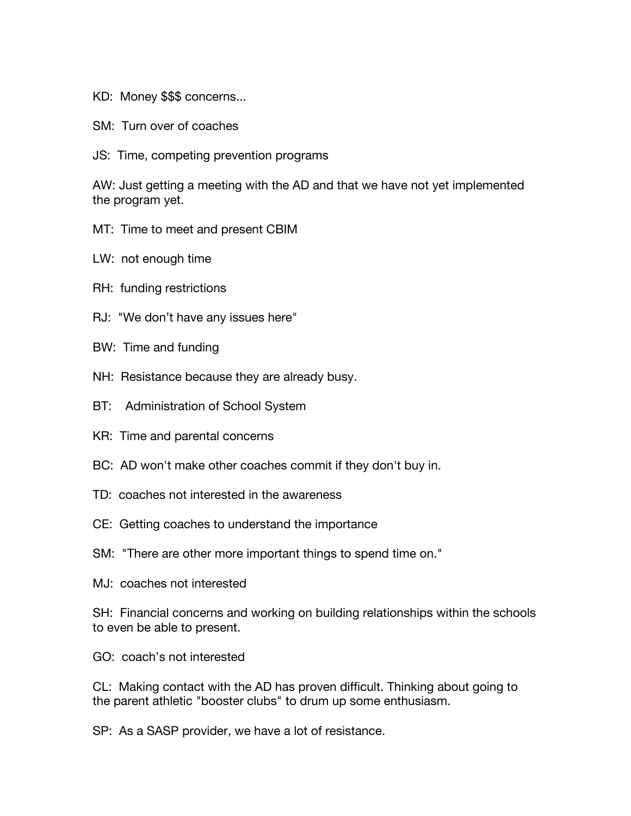KD: Money \$\$\$ concerns...

- SM: Turn over of coaches
- JS: Time, competing prevention programs

AW: Just getting a meeting with the AD and that we have not yet implemented the program yet.

- MT: Time to meet and present CBIM
- LW: not enough time
- RH: funding restrictions
- RJ: "We don't have any issues here"
- BW: Time and funding
- NH: Resistance because they are already busy.
- BT: Administration of School System
- KR: Time and parental concerns
- BC: AD won't make other coaches commit if they don't buy in.
- TD: coaches not interested in the awareness
- CE: Getting coaches to understand the importance
- SM: "There are other more important things to spend time on."
- MJ: coaches not interested

SH: Financial concerns and working on building relationships within the schools to even be able to present.

GO: coach's not interested

CL: Making contact with the AD has proven difficult. Thinking about going to the parent athletic "booster clubs" to drum up some enthusiasm.

SP: As a SASP provider, we have a lot of resistance.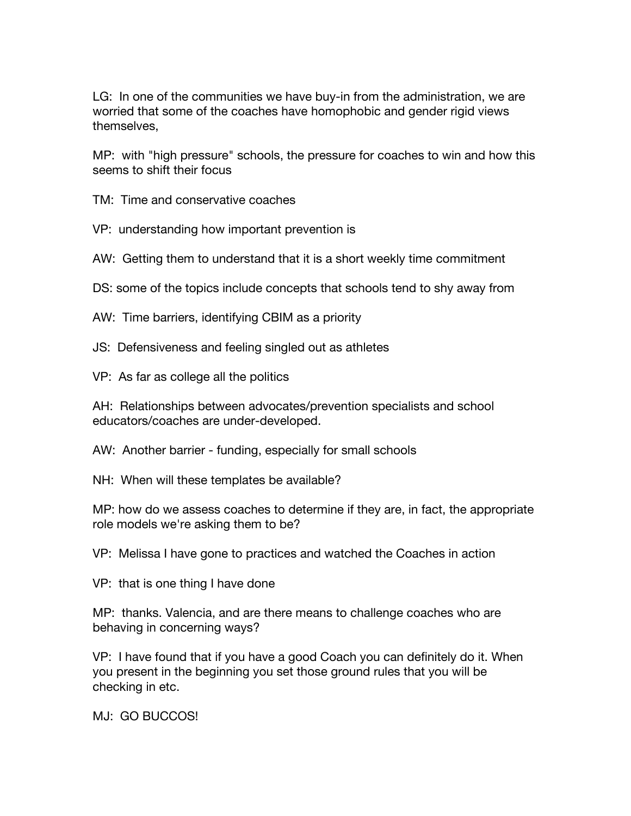LG: In one of the communities we have buy-in from the administration, we are worried that some of the coaches have homophobic and gender rigid views themselves,

MP: with "high pressure" schools, the pressure for coaches to win and how this seems to shift their focus

TM: Time and conservative coaches

VP: understanding how important prevention is

AW: Getting them to understand that it is a short weekly time commitment

DS: some of the topics include concepts that schools tend to shy away from

AW: Time barriers, identifying CBIM as a priority

JS: Defensiveness and feeling singled out as athletes

VP: As far as college all the politics

AH: Relationships between advocates/prevention specialists and school educators/coaches are under-developed.

AW: Another barrier - funding, especially for small schools

NH: When will these templates be available?

MP: how do we assess coaches to determine if they are, in fact, the appropriate role models we're asking them to be?

VP: Melissa I have gone to practices and watched the Coaches in action

VP: that is one thing I have done

MP: thanks. Valencia, and are there means to challenge coaches who are behaving in concerning ways?

VP: I have found that if you have a good Coach you can definitely do it. When you present in the beginning you set those ground rules that you will be checking in etc.

MJ: GO BUCCOS!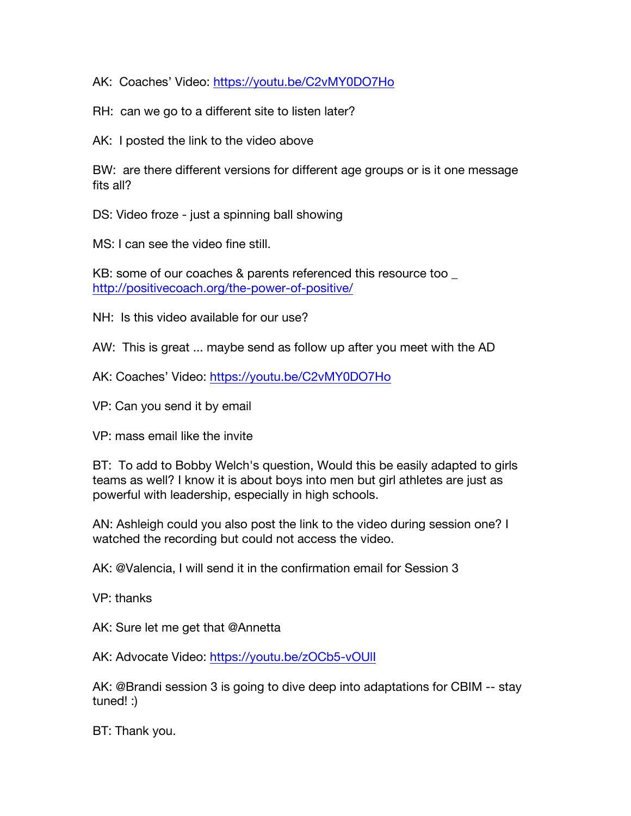AK: Coaches' Video: https://youtu.be/C2vMY0DO7Ho

RH: can we go to a different site to listen later?

AK: I posted the link to the video above

BW: are there different versions for different age groups or is it one message fits all?

DS: Video froze - just a spinning ball showing

MS: I can see the video fine still.

KB: some of our coaches & parents referenced this resource too http://positivecoach.org/the-power-of-positive/

NH: Is this video available for our use?

AW: This is great ... maybe send as follow up after you meet with the AD

AK: Coaches' Video: https://youtu.be/C2vMY0DO7Ho

VP: Can you send it by email

VP: mass email like the invite

BT: To add to Bobby Welch's question, Would this be easily adapted to girls teams as well? I know it is about boys into men but girl athletes are just as powerful with leadership, especially in high schools.

AN: Ashleigh could you also post the link to the video during session one? I watched the recording but could not access the video.

AK: @Valencia, I will send it in the confirmation email for Session 3

VP: thanks

AK: Sure let me get that @Annetta

AK: Advocate Video: https://youtu.be/zOCb5-vOUlI

AK: @Brandi session 3 is going to dive deep into adaptations for CBIM -- stay tuned! :)

BT: Thank you.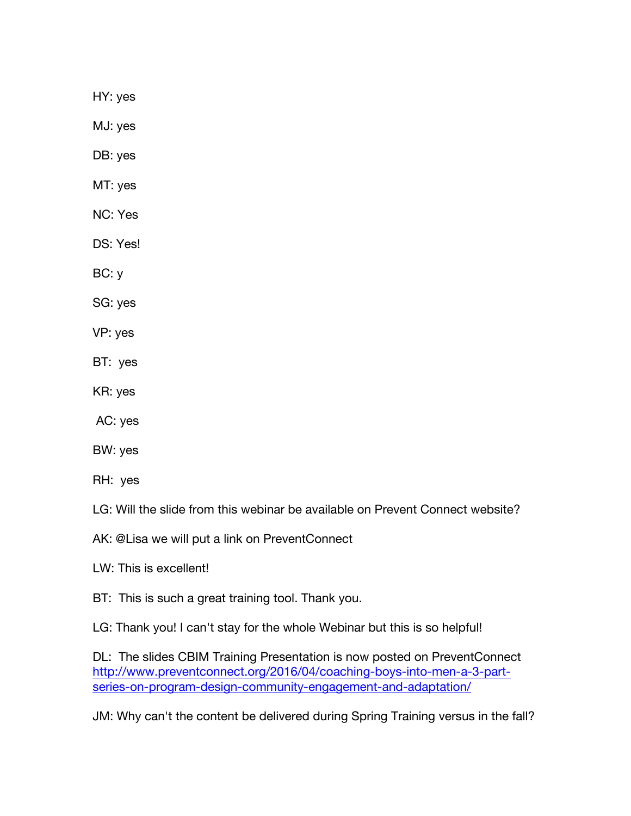HY: yes

MJ: yes

DB: yes

MT: yes

NC: Yes

DS: Yes!

BC: y

SG: yes

VP: yes

BT: yes

KR: yes

AC: yes

BW: yes

RH: yes

LG: Will the slide from this webinar be available on Prevent Connect website?

AK: @Lisa we will put a link on PreventConnect

LW: This is excellent!

BT: This is such a great training tool. Thank you.

LG: Thank you! I can't stay for the whole Webinar but this is so helpful!

DL: The slides CBIM Training Presentation is now posted on PreventConnect http://www.preventconnect.org/2016/04/coaching-boys-into-men-a-3-partseries-on-program-design-community-engagement-and-adaptation/

JM: Why can't the content be delivered during Spring Training versus in the fall?